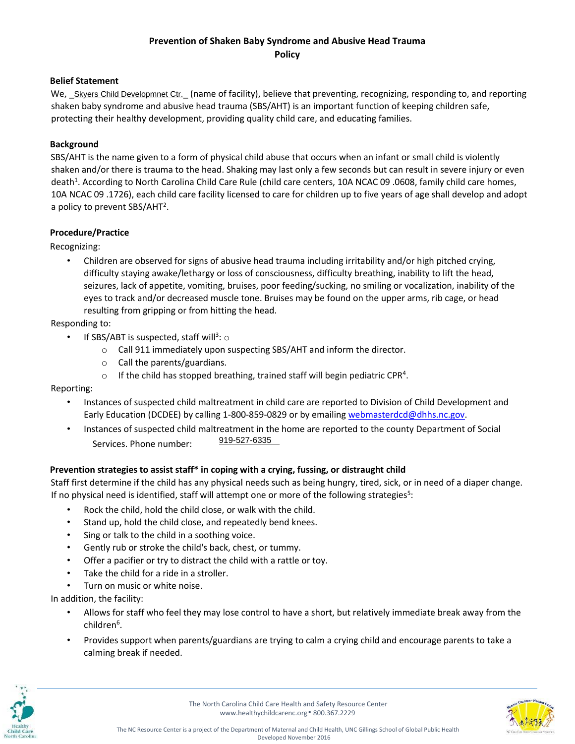#### **Belief Statement**

We, Skyers Child Developmnet Ctr. (name of facility), believe that preventing, recognizing, responding to, and reporting shaken baby syndrome and abusive head trauma (SBS/AHT) is an important function of keeping children safe, protecting their healthy development, providing quality child care, and educating families.

#### **Background**

SBS/AHT is the name given to a form of physical child abuse that occurs when an infant or small child is violently shaken and/or there is trauma to the head. Shaking may last only a few seconds but can result in severe injury or even death<sup>1</sup>. According to North Carolina Child Care Rule (child care centers, 10A NCAC 09 .0608, family child care homes, 10A NCAC 09 .1726), each child care facility licensed to care for children up to five years of age shall develop and adopt a policy to prevent SBS/AHT<sup>2</sup>.

#### **Procedure/Practice**

Recognizing:

• Children are observed for signs of abusive head trauma including irritability and/or high pitched crying, difficulty staying awake/lethargy or loss of consciousness, difficulty breathing, inability to lift the head, seizures, lack of appetite, vomiting, bruises, poor feeding/sucking, no smiling or vocalization, inability of the eyes to track and/or decreased muscle tone. Bruises may be found on the upper arms, rib cage, or head resulting from gripping or from hitting the head.

Responding to:

- If SBS/ABT is suspected, staff will<sup>3</sup>:  $\circ$ 
	- o Call 911 immediately upon suspecting SBS/AHT and inform the director.
	- o Call the parents/guardians.
	- $\circ$  If the child has stopped breathing, trained staff will begin pediatric CPR<sup>4</sup>.

Reporting:

- Instances of suspected child maltreatment in child care are reported to Division of Child Development and Early Education (DCDEE) by calling 1-800-859-0829 or by emailing webmasterdcd@dhhs.nc.gov.
- Instances of suspected child maltreatment in the home are reported to the county Department of Social Services. Phone number: 919-527-6335

### **Prevention strategies to assist staff\* in coping with a crying, fussing, or distraught child**

Staff first determine if the child has any physical needs such as being hungry, tired, sick, or in need of a diaper change. If no physical need is identified, staff will attempt one or more of the following strategies<sup>5</sup>:

- Rock the child, hold the child close, or walk with the child.
- Stand up, hold the child close, and repeatedly bend knees.
- Sing or talk to the child in a soothing voice.
- Gently rub or stroke the child's back, chest, or tummy.
- Offer a pacifier or try to distract the child with a rattle or toy.
- Take the child for a ride in a stroller.
- Turn on music or white noise.

In addition, the facility:

- Allows for staff who feel they may lose control to have a short, but relatively immediate break away from the children<sup>6</sup>.
- Provides support when parents/guardians are trying to calm a crying child and encourage parents to take a calming break if needed.



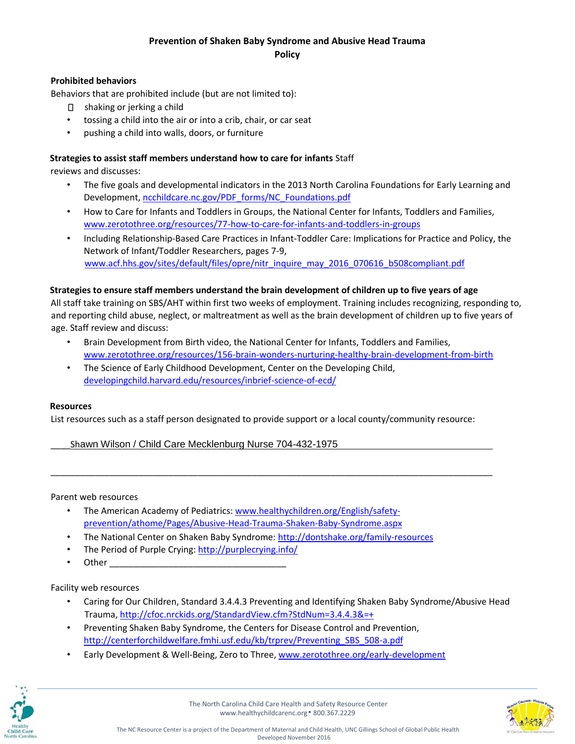### **Prohibited behaviors**

Behaviors that are prohibited include (but are not limited to):

- □ shaking or jerking a child
- tossing a child into the air or into a crib, chair, or car seat
- pushing a child into walls, doors, or furniture

### **Strategies to assist staff members understand how to care for infants** Staff

reviews and discusses:

- The five goals and developmental indicators in the 2013 North Carolina Foundations for Early Learning and Developmen[t,](http://ncchildcare.nc.gov/PDF_forms/NC_Foundations.pdf) [ncchildcare.nc.gov/PDF\\_forms/NC\\_Foundations.pdf](http://ncchildcare.nc.gov/PDF_forms/NC_Foundations.pdf)
- How to Care for Infants and Toddlers in Groups, the National Center for Infants, Toddlers and Families, [www.zerotothree.org/resources/77-how-to-care-for-infants-and-toddlers-in-groups](http://www.zerotothree.org/resources/77-how-to-care-for-infants-and-toddlers-in-groups)
- Including Relationship-Based Care Practices in Infant-Toddler Care: Implications for Practice and Policy, the Network of Infant/Toddler Researchers, pages 7-9, [www.acf.hhs.gov/sites/default/files/opre/nitr\\_inquire\\_may\\_2016\\_070616\\_b508compliant.pdf](http://www.acf.hhs.gov/sites/default/files/opre/nitr_inquire_may_2016_070616_b508compliant.pdf)

### **Strategies to ensure staff members understand the brain development of children up to five years of age**

All staff take training on SBS/AHT within first two weeks of employment. Training includes recognizing, responding to, and reporting child abuse, neglect, or maltreatment as well as the brain development of children up to five years of age. Staff review and discuss:

- Brain Development from Birth video, the National Center for Infants, Toddlers and Families, [www.zerotothree.org/resources/156-brain-wonders-nurturing-healthy-brain-development-from-birth](http://www.zerotothree.org/resources/156-brain-wonders-nurturing-healthy-brain-development-from-birth)
- The Science of Early Childhood Development, Center on the Developing Child, [developingchild.harvard.edu/resources/inbrief-science-of-ecd/](http://developingchild.harvard.edu/resources/inbrief-science-of-ecd/)

### **Resources**

List resources such as a staff person designated to provide support or a local county/community resource:

\_\_\_\_\_\_\_\_\_\_\_\_\_\_\_\_\_\_\_\_\_\_\_\_\_\_\_\_\_\_\_\_\_\_\_\_\_\_\_\_\_\_\_\_\_\_\_\_\_\_\_\_\_\_\_\_\_\_\_\_\_\_\_\_\_\_\_\_\_\_\_\_\_\_\_\_\_\_\_\_\_\_\_\_\_\_\_\_\_\_

Shawn Wilson / Child Care Mecklenburg Nurse 704-432-1975

Parent web resources

- The American Academy of Pediatrics[: www.healthychildren.org/English/safety](http://www.healthychildren.org/English/safety-prevention/at-home/Pages/Abusive-Head-Trauma-Shaken-Baby-Syndrome.aspx)[prevention/athome/Pages/Abusive-Head-Trauma-Shaken-Baby-Syndrome.aspx](http://www.healthychildren.org/English/safety-prevention/at-home/Pages/Abusive-Head-Trauma-Shaken-Baby-Syndrome.aspx)
- The National Center on Shaken Baby Syndrome:<http://dontshake.org/family-resources>
- The Period of Purple Crying:<http://purplecrying.info/>
- Other

### Facility web resources

- Caring for Our Children, Standard 3.4.4.3 Preventing and Identifying Shaken Baby Syndrome/Abusive Head Traum[a,](http://cfoc.nrckids.org/StandardView.cfm?StdNum=3.4.4.3&=+) <http://cfoc.nrckids.org/StandardView.cfm?StdNum=3.4.4.3&=+>
- Preventing Shaken Baby Syndrome, the Centers for Disease Control and Prevention, [http://centerforchildwelfare.fmhi.usf.edu/kb/trprev/Preventing\\_SBS\\_508-a.pdf](http://centerforchildwelfare.fmhi.usf.edu/kb/trprev/Preventing_SBS_508-a.pdf)
- Early Development & Well-Being, Zero to Thre[e,](http://www.zerotothree.org/early-development) [www.zerotothree.org/early-development](http://www.zerotothree.org/early-development)



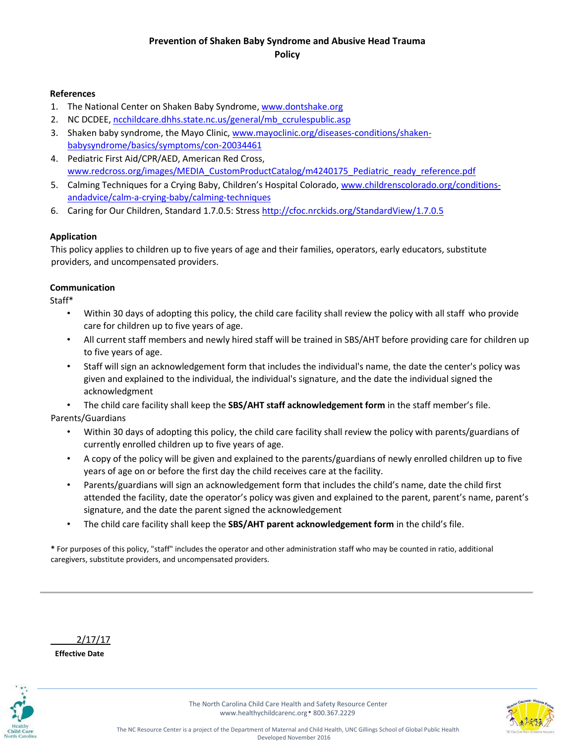#### **References**

- 1. The National Center on Shaken Baby Syndrom[e, www.dontshake.org](http://www.dontshake.org/)
- 2. NC DCDEE, [ncchildcare.dhhs.state.nc.us/general/mb\\_ccrulespublic.asp](http://ncchildcare.dhhs.state.nc.us/general/mb_ccrulespublic.asp)
- 3. Shaken baby syndrome, the Mayo Clini[c, www.mayoclinic.org/diseases-conditions/shaken](http://www.mayoclinic.org/diseases-conditions/shaken-baby-syndrome/basics/symptoms/con-20034461)[babysyndrome/basics/symptoms/con-20034461](http://www.mayoclinic.org/diseases-conditions/shaken-baby-syndrome/basics/symptoms/con-20034461)
- 4. Pediatric First Aid/CPR/AED, American Red Cross, [www.redcross.org/images/MEDIA\\_CustomProductCatalog/m4240175\\_Pediatric\\_ready\\_reference.pdf](http://www.redcross.org/images/MEDIA_CustomProductCatalog/m4240175_Pediatric_ready_reference.pdf)
- 5. Calming Techniques for a Crying Baby, Children's Hospital Colorado, [www.childrenscolorado.org/conditions](http://www.childrenscolorado.org/conditions-and-advice/calm-a-crying-baby/calming-techniques/)[andadvice/calm-a-crying-baby/calming-techniques](http://www.childrenscolorado.org/conditions-and-advice/calm-a-crying-baby/calming-techniques/)
- 6. Caring for Our Children, Standard 1.7.0.5: Stre[ss http://cfoc.nrckids.org/StandardView/1.7.0.5](http://cfoc.nrckids.org/StandardView/1.7.0.5)

#### **Application**

This policy applies to children up to five years of age and their families, operators, early educators, substitute providers, and uncompensated providers.

### **Communication**

Staff\*

- Within 30 days of adopting this policy, the child care facility shall review the policy with all staff who provide care for children up to five years of age.
- All current staff members and newly hired staff will be trained in SBS/AHT before providing care for children up to five years of age.
- Staff will sign an acknowledgement form that includes the individual's name, the date the center's policy was given and explained to the individual, the individual's signature, and the date the individual signed the acknowledgment

• The child care facility shall keep the **SBS/AHT staff acknowledgement form** in the staff member's file. Parents/Guardians

- Within 30 days of adopting this policy, the child care facility shall review the policy with parents/guardians of currently enrolled children up to five years of age.
- A copy of the policy will be given and explained to the parents/guardians of newly enrolled children up to five years of age on or before the first day the child receives care at the facility.
- Parents/guardians will sign an acknowledgement form that includes the child's name, date the child first attended the facility, date the operator's policy was given and explained to the parent, parent's name, parent's signature, and the date the parent signed the acknowledgement
- The child care facility shall keep the **SBS/AHT parent acknowledgement form** in the child's file.

**\*** For purposes of this policy, "staff" includes the operator and other administration staff who may be counted in ratio, additional caregivers, substitute providers, and uncompensated providers.

\_\_\_\_\_2/17/17

**Effective Date** 



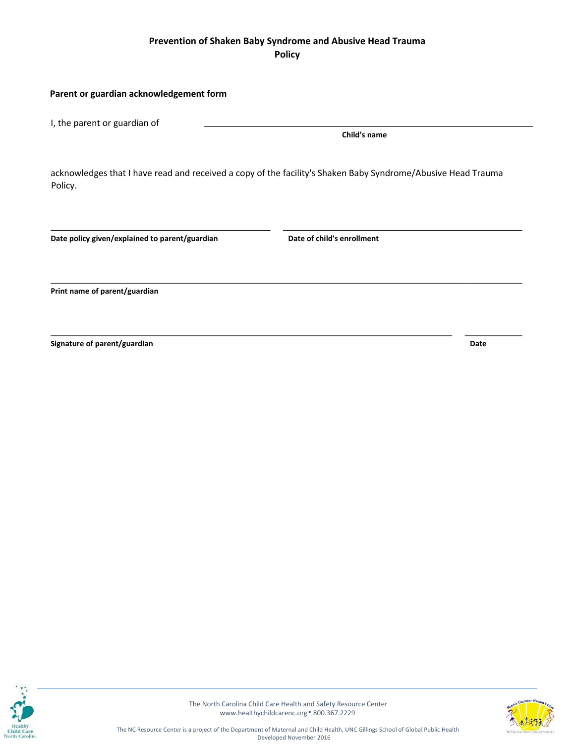#### **Parent or guardian acknowledgement form**

I, the parent or guardian of

**Child's name** 

acknowledges that I have read and received a copy of the facility's Shaken Baby Syndrome/Abusive Head Trauma Policy.

Date policy given/explained to parent/guardian **Date of child's enrollment** 

**Print name of parent/guardian** 

**Signature of parent/guardian distribution of parents of parents of parents of parents of parents of parents of parents of parents of parents of parents of parents of parents of parents of parents of parents of parents of**